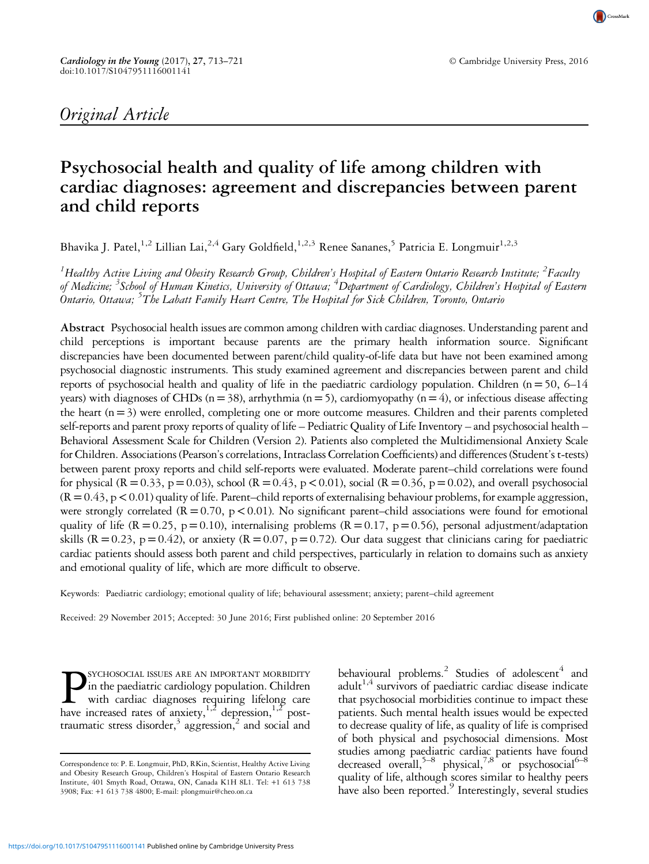CrossMark

# Psychosocial health and quality of life among children with cardiac diagnoses: agreement and discrepancies between parent and child reports

Bhavika J. Patel,<sup>1,2</sup> Lillian Lai,<sup>2,4</sup> Gary Goldfield,<sup>1,2,3</sup> Renee Sananes,<sup>5</sup> Patricia E. Longmuir<sup>1,2,3</sup>

 $^1$ Healthy Active Living and Obesity Research Group, Children's Hospital of Eastern Ontario Research Institute;  $^2$ Faculty of Medicine; <sup>3</sup>School of Human Kinetics, University of Ottawa; <sup>4</sup>Department of Cardiology, Children's Hospital of Eastern Ontario, Ottawa; <sup>5</sup>The Labatt Family Heart Centre, The Hospital for Sick Children, Toronto, Ontario

Abstract Psychosocial health issues are common among children with cardiac diagnoses. Understanding parent and child perceptions is important because parents are the primary health information source. Significant discrepancies have been documented between parent/child quality-of-life data but have not been examined among psychosocial diagnostic instruments. This study examined agreement and discrepancies between parent and child reports of psychosocial health and quality of life in the paediatric cardiology population. Children ( $n=50$ ,  $6-14$ years) with diagnoses of CHDs ( $n=38$ ), arrhythmia ( $n=5$ ), cardiomyopathy ( $n=4$ ), or infectious disease affecting the heart  $(n=3)$  were enrolled, completing one or more outcome measures. Children and their parents completed self-reports and parent proxy reports of quality of life – Pediatric Quality of Life Inventory – and psychosocial health – Behavioral Assessment Scale for Children (Version 2). Patients also completed the Multidimensional Anxiety Scale for Children. Associations (Pearson's correlations, Intraclass Correlation Coefficients) and differences (Student's t-tests) between parent proxy reports and child self-reports were evaluated. Moderate parent–child correlations were found for physical (R = 0.33, p = 0.03), school (R = 0.43, p < 0.01), social (R = 0.36, p = 0.02), and overall psychosocial  $(R=0.43, p<0.01)$  quality of life. Parent–child reports of externalising behaviour problems, for example aggression, were strongly correlated  $(R=0.70, p<0.01)$ . No significant parent–child associations were found for emotional quality of life ( $R = 0.25$ ,  $p = 0.10$ ), internalising problems ( $R = 0.17$ ,  $p = 0.56$ ), personal adjustment/adaptation skills ( $R = 0.23$ , p=0.42), or anxiety ( $R = 0.07$ , p=0.72). Our data suggest that clinicians caring for paediatric cardiac patients should assess both parent and child perspectives, particularly in relation to domains such as anxiety and emotional quality of life, which are more difficult to observe.

Keywords: Paediatric cardiology; emotional quality of life; behavioural assessment; anxiety; parent–child agreement

Received: 29 November 2015; Accepted: 30 June 2016; First published online: 20 September 2016

**PSYCHOSOCIAL ISSUES ARE AN IMPORTANT MORBIDITY**<br>in the paediatric cardiology population. Children<br>with cardiac diagnoses requiring lifelong care<br>have increased rates of anxiety.<sup>1,2</sup> depression.<sup>1,2</sup> postin the paediatric cardiology population. Children with cardiac diagnoses requiring lifelong care have increased rates of anxiety,  $1,2$  depression,  $1,2$  posttraumatic stress disorder, $3$  aggression, $2$  and social and

behavioural problems.<sup>2</sup> Studies of adolescent<sup>4</sup> and adult<sup>1,4</sup> survivors of paediatric cardiac disease indicate that psychosocial morbidities continue to impact these patients. Such mental health issues would be expected to decrease quality of life, as quality of life is comprised of both physical and psychosocial dimensions. Most studies among paediatric cardiac patients have found decreased overall,<sup>5–[8](#page-7-0)</sup> physical,<sup>7,8</sup> or psychosocial<sup>6–8</sup> quality of life, although scores similar to healthy peers have also been reported.<sup>[9](#page-7-0)</sup> Interestingly, several studies

Correspondence to: P. E. Longmuir, PhD, RKin, Scientist, Healthy Active Living and Obesity Research Group, Children's Hospital of Eastern Ontario Research Institute, 401 Smyth Road, Ottawa, ON, Canada K1H 8L1. Tel: +1 613 738 3908; Fax: +1 613 738 4800; E-mail: [plongmuir@cheo.on.ca](mailto:plongmuir@cheo.on.ca)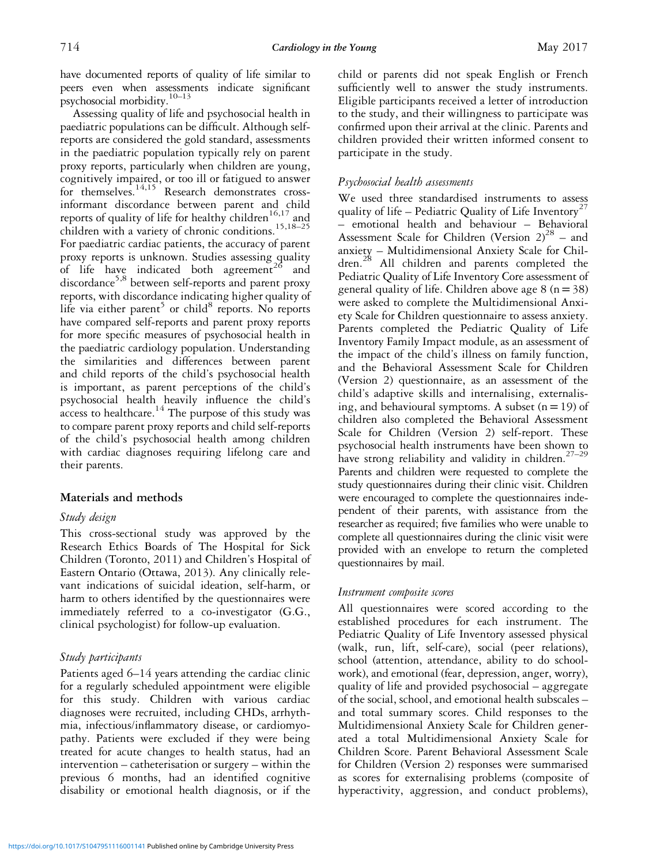have documented reports of quality of life similar to peers even when assessments indicate significant psychosocial morbidity.[10](#page-7-0)–[13](#page-7-0)

Assessing quality of life and psychosocial health in paediatric populations can be difficult. Although selfreports are considered the gold standard, assessments in the paediatric population typically rely on parent proxy reports, particularly when children are young, cognitively impaired, or too ill or fatigued to answer for themselves.<sup>[14,15](#page-7-0)</sup> Research demonstrates crossinformant discordance between parent and child reports of quality of life for healthy children<sup>[16,17](#page-8-0)</sup> and children with a variety of chronic conditions.<sup>[15](#page-7-0)[,18](#page-8-0)–[25](#page-8-0)</sup> For paediatric cardiac patients, the accuracy of parent proxy reports is unknown. Studies assessing quality of life have indicated both agreement<sup>[26](#page-8-0)</sup> and discordance[5,8](#page-7-0) between self-reports and parent proxy reports, with discordance indicating higher quality of life via either parent<sup>[5](#page-7-0)</sup> or child<sup>[8](#page-7-0)</sup> reports. No reports have compared self-reports and parent proxy reports for more specific measures of psychosocial health in the paediatric cardiology population. Understanding the similarities and differences between parent and child reports of the child's psychosocial health is important, as parent perceptions of the child's psychosocial health heavily influence the child's access to healthcare. $14$  The purpose of this study was to compare parent proxy reports and child self-reports of the child's psychosocial health among children with cardiac diagnoses requiring lifelong care and their parents.

## Materials and methods

## Study design

This cross-sectional study was approved by the Research Ethics Boards of The Hospital for Sick Children (Toronto, 2011) and Children's Hospital of Eastern Ontario (Ottawa, 2013). Any clinically relevant indications of suicidal ideation, self-harm, or harm to others identified by the questionnaires were immediately referred to a co-investigator (G.G., clinical psychologist) for follow-up evaluation.

## Study participants

Patients aged 6–14 years attending the cardiac clinic for a regularly scheduled appointment were eligible for this study. Children with various cardiac diagnoses were recruited, including CHDs, arrhythmia, infectious/inflammatory disease, or cardiomyopathy. Patients were excluded if they were being treated for acute changes to health status, had an intervention – catheterisation or surgery – within the previous 6 months, had an identified cognitive disability or emotional health diagnosis, or if the child or parents did not speak English or French sufficiently well to answer the study instruments. Eligible participants received a letter of introduction to the study, and their willingness to participate was confirmed upon their arrival at the clinic. Parents and children provided their written informed consent to participate in the study.

## Psychosocial health assessments

We used three standardised instruments to assess quality of life – Pediatric Quality of Life Inventory<sup>[27](#page-8-0)</sup> – emotional health and behaviour – Behavioral Assessment Scale for Children (Version  $2)^{28}$  $2)^{28}$  $2)^{28}$  – and anxiety – Multidimensional Anxiety Scale for Chil-dren.<sup>[28](#page-8-0)</sup> All children and parents completed the Pediatric Quality of Life Inventory Core assessment of general quality of life. Children above age  $8 (n=38)$ were asked to complete the Multidimensional Anxiety Scale for Children questionnaire to assess anxiety. Parents completed the Pediatric Quality of Life Inventory Family Impact module, as an assessment of the impact of the child's illness on family function, and the Behavioral Assessment Scale for Children (Version 2) questionnaire, as an assessment of the child's adaptive skills and internalising, externalising, and behavioural symptoms. A subset  $(n = 19)$  of children also completed the Behavioral Assessment Scale for Children (Version 2) self-report. These psychosocial health instruments have been shown to have strong reliability and validity in children.<sup>27-[29](#page-8-0)</sup> Parents and children were requested to complete the study questionnaires during their clinic visit. Children were encouraged to complete the questionnaires independent of their parents, with assistance from the researcher as required; five families who were unable to complete all questionnaires during the clinic visit were provided with an envelope to return the completed questionnaires by mail.

## Instrument composite scores

All questionnaires were scored according to the established procedures for each instrument. The Pediatric Quality of Life Inventory assessed physical (walk, run, lift, self-care), social (peer relations), school (attention, attendance, ability to do schoolwork), and emotional (fear, depression, anger, worry), quality of life and provided psychosocial – aggregate of the social, school, and emotional health subscales – and total summary scores. Child responses to the Multidimensional Anxiety Scale for Children generated a total Multidimensional Anxiety Scale for Children Score. Parent Behavioral Assessment Scale for Children (Version 2) responses were summarised as scores for externalising problems (composite of hyperactivity, aggression, and conduct problems),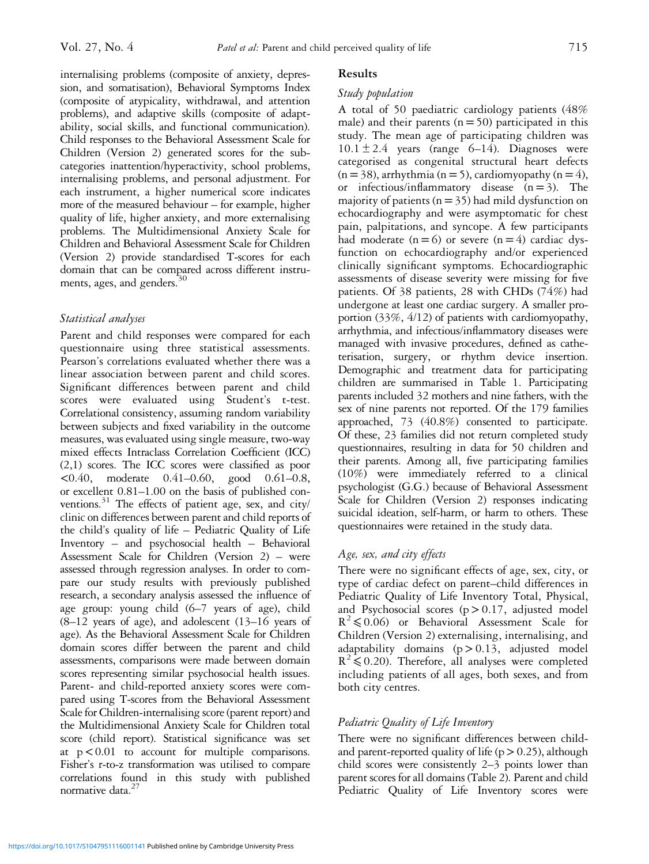internalising problems (composite of anxiety, depression, and somatisation), Behavioral Symptoms Index (composite of atypicality, withdrawal, and attention problems), and adaptive skills (composite of adaptability, social skills, and functional communication). Child responses to the Behavioral Assessment Scale for Children (Version 2) generated scores for the subcategories inattention/hyperactivity, school problems, internalising problems, and personal adjustment. For each instrument, a higher numerical score indicates more of the measured behaviour – for example, higher quality of life, higher anxiety, and more externalising problems. The Multidimensional Anxiety Scale for Children and Behavioral Assessment Scale for Children (Version 2) provide standardised T-scores for each domain that can be compared across different instruments, ages, and genders.<sup>3</sup>

# Statistical analyses

Parent and child responses were compared for each questionnaire using three statistical assessments. Pearson's correlations evaluated whether there was a linear association between parent and child scores. Significant differences between parent and child scores were evaluated using Student's t-test. Correlational consistency, assuming random variability between subjects and fixed variability in the outcome measures, was evaluated using single measure, two-way mixed effects Intraclass Correlation Coefficient (ICC) (2,1) scores. The ICC scores were classified as poor <0.40, moderate 0.41–0.60, good 0.61–0.8, or excellent 0.81–1.00 on the basis of published conventions. $31$  The effects of patient age, sex, and city/ clinic on differences between parent and child reports of the child's quality of life – Pediatric Quality of Life Inventory – and psychosocial health – Behavioral Assessment Scale for Children (Version 2) – were assessed through regression analyses. In order to compare our study results with previously published research, a secondary analysis assessed the influence of age group: young child (6–7 years of age), child  $(8-12)$  years of age), and adolescent  $(13-16)$  years of age). As the Behavioral Assessment Scale for Children domain scores differ between the parent and child assessments, comparisons were made between domain scores representing similar psychosocial health issues. Parent- and child-reported anxiety scores were compared using T-scores from the Behavioral Assessment Scale for Children-internalising score (parent report) and the Multidimensional Anxiety Scale for Children total score (child report). Statistical significance was set at  $p < 0.01$  to account for multiple comparisons. Fisher's r-to-z transformation was utilised to compare correlations found in this study with published normative data<sup>27</sup>

# Results

## Study population

A total of 50 paediatric cardiology patients (48% male) and their parents  $(n = 50)$  participated in this study. The mean age of participating children was  $10.1 \pm 2.4$  years (range 6–14). Diagnoses were categorised as congenital structural heart defects  $(n = 38)$ , arrhythmia (n = 5), cardiomyopathy (n = 4), or infectious/inflammatory disease  $(n=3)$ . The majority of patients ( $n = 35$ ) had mild dysfunction on echocardiography and were asymptomatic for chest pain, palpitations, and syncope. A few participants had moderate  $(n=6)$  or severe  $(n=4)$  cardiac dysfunction on echocardiography and/or experienced clinically significant symptoms. Echocardiographic assessments of disease severity were missing for five patients. Of 38 patients, 28 with CHDs (74%) had undergone at least one cardiac surgery. A smaller proportion (33%, 4/12) of patients with cardiomyopathy, arrhythmia, and infectious/inflammatory diseases were managed with invasive procedures, defined as catheterisation, surgery, or rhythm device insertion. Demographic and treatment data for participating children are summarised in [Table 1.](#page-3-0) Participating parents included 32 mothers and nine fathers, with the sex of nine parents not reported. Of the 179 families approached, 73 (40.8%) consented to participate. Of these, 23 families did not return completed study questionnaires, resulting in data for 50 children and their parents. Among all, five participating families (10%) were immediately referred to a clinical psychologist (G.G.) because of Behavioral Assessment Scale for Children (Version 2) responses indicating suicidal ideation, self-harm, or harm to others. These questionnaires were retained in the study data.

# Age, sex, and city effects

There were no significant effects of age, sex, city, or type of cardiac defect on parent–child differences in Pediatric Quality of Life Inventory Total, Physical, and Psychosocial scores  $(p > 0.17,$  adjusted model  $R^2 \le 0.06$  or Behavioral Assessment Scale for Children (Version 2) externalising, internalising, and adaptability domains  $(p>0.13,$  adjusted model  $R^2 \le 0.20$ ). Therefore, all analyses were completed including patients of all ages, both sexes, and from both city centres.

# Pediatric Quality of Life Inventory

There were no significant differences between childand parent-reported quality of life ( $p > 0.25$ ), although child scores were consistently 2–3 points lower than parent scores for all domains [\(Table 2\)](#page-3-0). Parent and child Pediatric Quality of Life Inventory scores were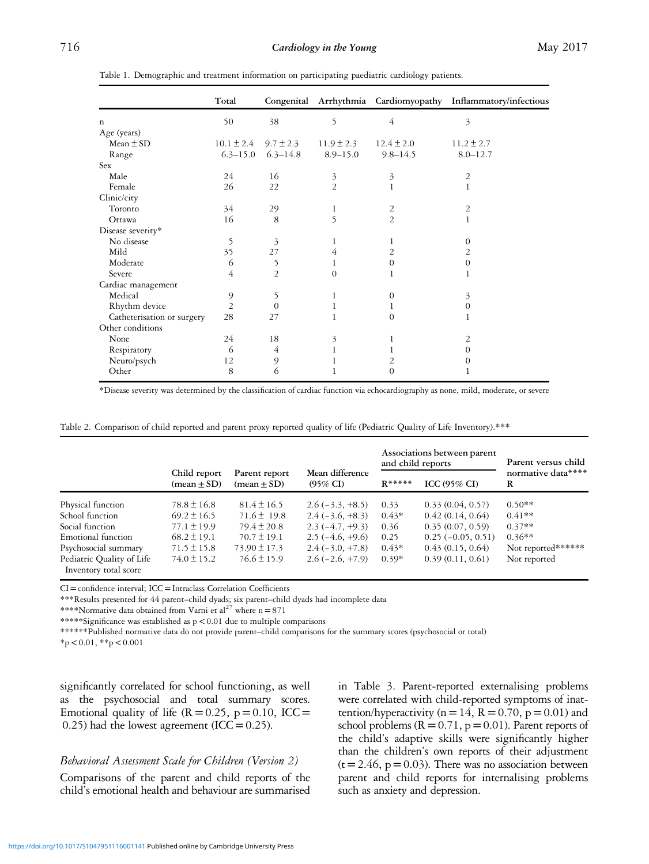|                            | Total          |                |                           |                | Congenital Arrhythmia Cardiomyopathy Inflammatory/infectious |
|----------------------------|----------------|----------------|---------------------------|----------------|--------------------------------------------------------------|
| $\mathbf n$                | 50             | 38             | 5                         | 4              | 3                                                            |
| Age (years)                |                |                |                           |                |                                                              |
| Mean $\pm$ SD              | $10.1 \pm 2.4$ | $9.7 \pm 2.3$  | $11.9 \pm 2.3$            | $12.4 \pm 2.0$ | $11.2 \pm 2.7$                                               |
| Range                      | $6.3 - 15.0$   | $6.3 - 14.8$   | $8.9 - 15.0$              | $9.8 - 14.5$   | $8.0 - 12.7$                                                 |
| <b>Sex</b>                 |                |                |                           |                |                                                              |
| Male                       | 24             | 16             | 3                         | 3              | 2                                                            |
| Female                     | 26             | 22             | $\overline{2}$            | 1              | 1                                                            |
| Clinic/city                |                |                |                           |                |                                                              |
| Toronto                    | 34             | 29             | 1                         | 2              | $\overline{2}$                                               |
| Ottawa                     | 16             | 8              | 5                         | $\overline{2}$ | 1                                                            |
| Disease severity*          |                |                |                           |                |                                                              |
| No disease                 | 5              | 3              | 1                         | 1              | $\theta$                                                     |
| Mild                       | 35             | 27             | 4                         | $\overline{2}$ | 2                                                            |
| Moderate                   | 6              | 5              | 1                         | $\mathbf{0}$   | $\Omega$                                                     |
| Severe                     | $\overline{4}$ | $\overline{2}$ | $\Omega$                  | 1              |                                                              |
| Cardiac management         |                |                |                           |                |                                                              |
| Medical                    | 9              | 5              | 1                         | $\theta$       | 3                                                            |
| Rhythm device              | $\overline{2}$ | $\Omega$       | 1                         | 1              | 0                                                            |
| Catheterisation or surgery | 28             | 27             | 1                         | $\theta$       |                                                              |
| Other conditions           |                |                |                           |                |                                                              |
| None                       | 24             | 18             | $\overline{\mathfrak{Z}}$ | 1              | 2                                                            |
| Respiratory                | 6              | 4              | 1                         |                | $\Omega$                                                     |
| Neuro/psych                | 12             | 9              |                           | 2              | $\theta$                                                     |
| Other                      | 8              | 6              |                           | $\theta$       |                                                              |

<span id="page-3-0"></span>Table 1. Demographic and treatment information on participating paediatric cardiology patients.

\*Disease severity was determined by the classification of cardiac function via echocardiography as none, mild, moderate, or severe

|  |  | Table 2. Comparison of child reported and parent proxy reported quality of life (Pediatric Quality of Life Inventory).*** |  |  |  |  |  |  |
|--|--|---------------------------------------------------------------------------------------------------------------------------|--|--|--|--|--|--|
|--|--|---------------------------------------------------------------------------------------------------------------------------|--|--|--|--|--|--|

|                                                    |                                               |                                |                                        | and child reports | Associations between parent | Parent versus child     |  |
|----------------------------------------------------|-----------------------------------------------|--------------------------------|----------------------------------------|-------------------|-----------------------------|-------------------------|--|
|                                                    | Child report<br>$(\text{mean} \pm \text{SD})$ | Parent report<br>$mean \pm SD$ | Mean difference<br>$(95\% \text{ CI})$ | $R*****$          | ICC $(95\%$ CI)             | normative data****<br>R |  |
| Physical function                                  | $78.8 \pm 16.8$                               | $81.4 \pm 16.5$                | $2.6(-3.3, +8.5)$                      | 0.33              | 0.33(0.04, 0.57)            | $0.50**$                |  |
| School function                                    | $69.2 \pm 16.5$                               | $71.6 \pm 19.8$                | $2.4(-3.6, +8.3)$                      | $0.43*$           | 0.42(0.14, 0.64)            | $0.41**$                |  |
| Social function                                    | $77.1 \pm 19.9$                               | $79.4 \pm 20.8$                | $2.3(-4.7, +9.3)$                      | 0.36              | 0.35(0.07, 0.59)            | $0.37**$                |  |
| Emotional function                                 | $68.2 \pm 19.1$                               | $70.7 \pm 19.1$                | $2.5(-4.6, +9.6)$                      | 0.25              | $0.25(-0.05, 0.51)$         | $0.36**$                |  |
| Psychosocial summary                               | $71.5 \pm 15.8$                               | $73.90 \pm 17.3$               | $2.4(-3.0, +7.8)$                      | $0.43*$           | 0.43(0.15, 0.64)            | Not reported******      |  |
| Pediatric Quality of Life<br>Inventory total score | $74.0 \pm 15.2$                               | $76.6 \pm 15.9$                | $2.6(-2.6, +7.9)$                      | $0.39*$           | 0.39(0.11, 0.61)            | Not reported            |  |

CI=confidence interval; ICC=Intraclass Correlation Coefficients

\*\*\*Results presented for 44 parent–child dyads; six parent–child dyads had incomplete data

\*\*\*\*Normative data obtained from Varni et  $al^{27}$  $al^{27}$  $al^{27}$  where  $n = 871$ 

\*\*\*\*\*Significance was established as  $p < 0.01$  due to multiple comparisons

\*\*\*\*\*\*Published normative data do not provide parent–child comparisons for the summary scores (psychosocial or total)

 $*_{p}$  < 0.01,  $*_{p}$  < 0.001

significantly correlated for school functioning, as well as the psychosocial and total summary scores. Emotional quality of life  $(R=0.25, p=0.10, ICC=$ 0.25) had the lowest agreement (ICC =  $0.25$ ).

#### Behavioral Assessment Scale for Children (Version 2)

Comparisons of the parent and child reports of the child's emotional health and behaviour are summarised in [Table 3](#page-4-0). Parent-reported externalising problems were correlated with child-reported symptoms of inattention/hyperactivity ( $n=14$ ,  $R=0.70$ ,  $p=0.01$ ) and school problems ( $R = 0.71$ ,  $p = 0.01$ ). Parent reports of the child's adaptive skills were significantly higher than the children's own reports of their adjustment  $(t=2.46, p=0.03)$ . There was no association between parent and child reports for internalising problems such as anxiety and depression.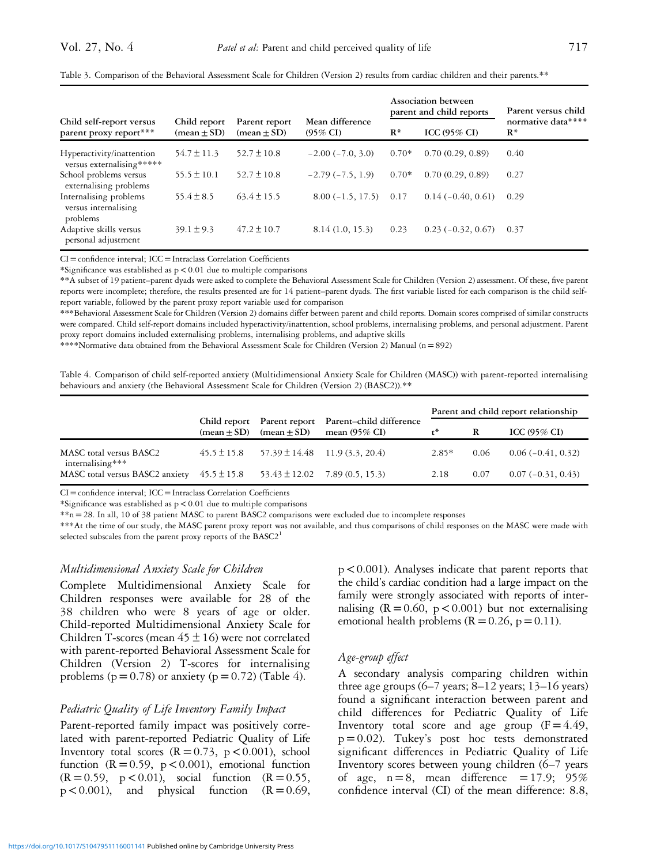|                                                            |                               |                                |                                        |                | Association between<br>parent and child reports | Parent versus child         |  |
|------------------------------------------------------------|-------------------------------|--------------------------------|----------------------------------------|----------------|-------------------------------------------------|-----------------------------|--|
| Child self-report versus<br>parent proxy report***         | Child report<br>$mean \pm SD$ | Parent report<br>$mean \pm SD$ | Mean difference<br>$(95\% \text{ CI})$ | $\mathbf{R}^*$ | ICC $(95\%$ CI)                                 | normative data****<br>$R^*$ |  |
| Hyperactivity/inattention<br>versus externalising*****     | $54.7 \pm 11.3$               | $52.7 \pm 10.8$                | $-2.00(-7.0, 3.0)$                     | $0.70*$        | 0.70(0.29, 0.89)                                | 0.40                        |  |
| School problems versus<br>externalising problems           | $55.5 \pm 10.1$               | $52.7 \pm 10.8$                | $-2.79(-7.5, 1.9)$                     | $0.70*$        | 0.70(0.29, 0.89)                                | 0.27                        |  |
| Internalising problems<br>versus internalising<br>problems | $55.4 \pm 8.5$                | $63.4 \pm 15.5$                | $8.00(-1.5, 17.5)$                     | 0.17           | $0.14(-0.40, 0.61)$                             | 0.29                        |  |
| Adaptive skills versus<br>personal adjustment              | $39.1 \pm 9.3$                | $47.2 \pm 10.7$                | 8.14(1.0, 15.3)                        | 0.23           | $0.23(-0.32, 0.67)$                             | 0.37                        |  |

<span id="page-4-0"></span>

|  | Table 3. Comparison of the Behavioral Assessment Scale for Children (Version 2) results from cardiac children and their parents.** |  |  |  |  |  |  |  |  |  |  |  |  |  |  |
|--|------------------------------------------------------------------------------------------------------------------------------------|--|--|--|--|--|--|--|--|--|--|--|--|--|--|
|--|------------------------------------------------------------------------------------------------------------------------------------|--|--|--|--|--|--|--|--|--|--|--|--|--|--|

CI=confidence interval; ICC=Intraclass Correlation Coefficients

\*Significance was established as  $p < 0.01$  due to multiple comparisons

\*\*A subset of 19 patient–parent dyads were asked to complete the Behavioral Assessment Scale for Children (Version 2) assessment. Of these, five parent reports were incomplete; therefore, the results presented are for 14 patient–parent dyads. The first variable listed for each comparison is the child selfreport variable, followed by the parent proxy report variable used for comparison

\*\*\*Behavioral Assessment Scale for Children (Version 2) domains differ between parent and child reports. Domain scores comprised of similar constructs were compared. Child self-report domains included hyperactivity/inattention, school problems, internalising problems, and personal adjustment. Parent proxy report domains included externalising problems, internalising problems, and adaptive skills

\*\*\*\*Normative data obtained from the Behavioral Assessment Scale for Children (Version 2) Manual (n=892)

Table 4. Comparison of child self-reported anxiety (Multidimensional Anxiety Scale for Children (MASC)) with parent-reported internalising behaviours and anxiety (the Behavioral Assessment Scale for Children (Version 2) (BASC2)).\*\*

|                                                                                     |                               |               |                                                                   | Parent and child report relationship |      |                         |  |  |
|-------------------------------------------------------------------------------------|-------------------------------|---------------|-------------------------------------------------------------------|--------------------------------------|------|-------------------------|--|--|
|                                                                                     | Child report<br>$mean \pm SD$ | $mean \pm SD$ | Parent report Parent-child difference<br>mean $(95\% \text{ CI})$ |                                      | R    | ICC $(95\% \text{ CI})$ |  |  |
| MASC total versus BASC2<br>internalising***                                         | $45.5 \pm 15.8$               |               | $57.39 \pm 14.48$ 11.9 (3.3, 20.4)                                | $2.85*$                              | 0.06 | $0.06(-0.41, 0.32)$     |  |  |
| MASC total versus BASC2 anxiety $45.5 \pm 15.8$ $53.43 \pm 12.02$ $7.89(0.5, 15.3)$ |                               |               |                                                                   | 2.18                                 | 0.07 | $0.07(-0.31, 0.43)$     |  |  |

 $CI =$ confidence interval;  $ICC = Intraclass$  Correlation Coefficients

\*Significance was established as  $p < 0.01$  due to multiple comparisons

\*\*n=28. In all, 10 of 38 patient MASC to parent BASC2 comparisons were excluded due to incomplete responses

\*\*\*At the time of our study, the MASC parent proxy report was not available, and thus comparisons of child responses on the MASC were made with selected subscales from the parent proxy reports of the  $\text{BASC2}^{1}$  $\text{BASC2}^{1}$  $\text{BASC2}^{1}$ 

#### Multidimensional Anxiety Scale for Children

Complete Multidimensional Anxiety Scale for Children responses were available for 28 of the 38 children who were 8 years of age or older. Child-reported Multidimensional Anxiety Scale for Children T-scores (mean  $45 \pm 16$ ) were not correlated with parent-reported Behavioral Assessment Scale for Children (Version 2) T-scores for internalising problems ( $p = 0.78$ ) or anxiety ( $p = 0.72$ ) (Table 4).

#### Pediatric Quality of Life Inventory Family Impact

Parent-reported family impact was positively correlated with parent-reported Pediatric Quality of Life Inventory total scores  $(R=0.73, p < 0.001)$ , school function  $(R = 0.59, p < 0.001)$ , emotional function  $(R = 0.59, p < 0.01)$ , social function  $(R = 0.55,$  $p < 0.001$ ), and physical function  $(R = 0.69)$ ,

 $p < 0.001$ ). Analyses indicate that parent reports that the child's cardiac condition had a large impact on the family were strongly associated with reports of internalising  $(R = 0.60, p < 0.001)$  but not externalising emotional health problems ( $R = 0.26$ ,  $p = 0.11$ ).

#### Age-group effect

A secondary analysis comparing children within three age groups  $(6-7 \text{ years}; 8-12 \text{ years}; 13-16 \text{ years})$ found a significant interaction between parent and child differences for Pediatric Quality of Life Inventory total score and age group  $(F = 4.49)$ , p=0.02). Tukey's post hoc tests demonstrated significant differences in Pediatric Quality of Life Inventory scores between young children (6–7 years of age,  $n=8$ , mean difference = 17.9; 95% confidence interval (CI) of the mean difference: 8.8,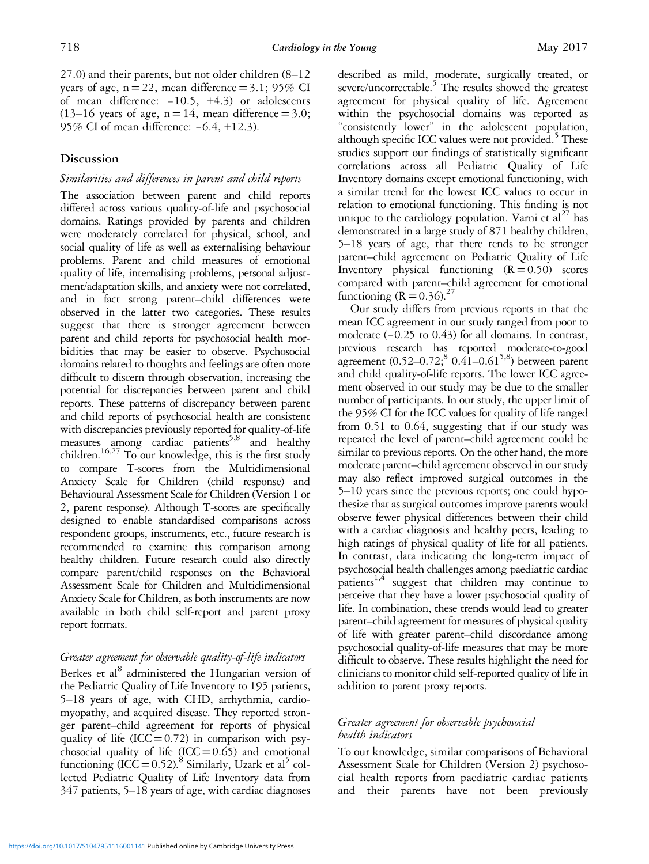27.0) and their parents, but not older children (8–12 years of age,  $n=22$ , mean difference = 3.1; 95% CI of mean difference: −10.5, +4.3) or adolescents  $(13-16$  years of age, n = 14, mean difference = 3.0; 95% CI of mean difference: -6.4, +12.3).

## Discussion

## Similarities and differences in parent and child reports

The association between parent and child reports differed across various quality-of-life and psychosocial domains. Ratings provided by parents and children were moderately correlated for physical, school, and social quality of life as well as externalising behaviour problems. Parent and child measures of emotional quality of life, internalising problems, personal adjustment/adaptation skills, and anxiety were not correlated, and in fact strong parent–child differences were observed in the latter two categories. These results suggest that there is stronger agreement between parent and child reports for psychosocial health morbidities that may be easier to observe. Psychosocial domains related to thoughts and feelings are often more difficult to discern through observation, increasing the potential for discrepancies between parent and child reports. These patterns of discrepancy between parent and child reports of psychosocial health are consistent with discrepancies previously reported for quality-of-life measures among cardiac patients<sup>5,8</sup> and healthy children.<sup>16,27</sup> To our knowledge, this is the first study to compare T-scores from the Multidimensional Anxiety Scale for Children (child response) and Behavioural Assessment Scale for Children (Version 1 or 2, parent response). Although T-scores are specifically designed to enable standardised comparisons across respondent groups, instruments, etc., future research is recommended to examine this comparison among healthy children. Future research could also directly compare parent/child responses on the Behavioral Assessment Scale for Children and Multidimensional Anxiety Scale for Children, as both instruments are now available in both child self-report and parent proxy report formats.

## Greater agreement for observable quality-of-life indicators

Berkes et al<sup>[8](#page-7-0)</sup> administered the Hungarian version of the Pediatric Quality of Life Inventory to 195 patients, 5–18 years of age, with CHD, arrhythmia, cardiomyopathy, and acquired disease. They reported stronger parent–child agreement for reports of physical quality of life  $(ICC=0.72)$  in comparison with psychosocial quality of life  $(ICC=0.65)$  and emotional functioning (ICC = 0.52).<sup>8</sup> Similarly, Uzark et al<sup>5</sup> collected Pediatric Quality of Life Inventory data from 347 patients, 5–18 years of age, with cardiac diagnoses

described as mild, moderate, surgically treated, or severe/uncorrectable.<sup>5</sup> The results showed the greatest agreement for physical quality of life. Agreement within the psychosocial domains was reported as "consistently lower" in the adolescent population, although specific ICC values were not provided. $5$  These studies support our findings of statistically significant correlations across all Pediatric Quality of Life Inventory domains except emotional functioning, with a similar trend for the lowest ICC values to occur in relation to emotional functioning. This finding is not unique to the cardiology population. Varni et  $al^{27}$  has demonstrated in a large study of 871 healthy children, 5–18 years of age, that there tends to be stronger parent–child agreement on Pediatric Quality of Life Inventory physical functioning  $(R=0.50)$  scores compared with parent–child agreement for emotional functioning  $(R=0.36)^{27}$  $(R=0.36)^{27}$  $(R=0.36)^{27}$ 

Our study differs from previous reports in that the mean ICC agreement in our study ranged from poor to moderate (−0.25 to 0.43) for all domains. In contrast, previous research has reported moderate-to-good agreement  $(0.52-0.72)^8$   $0.41-0.61^{5.8}$ ) between parent and child quality-of-life reports. The lower ICC agreement observed in our study may be due to the smaller number of participants. In our study, the upper limit of the 95% CI for the ICC values for quality of life ranged from 0.51 to 0.64, suggesting that if our study was repeated the level of parent–child agreement could be similar to previous reports. On the other hand, the more moderate parent–child agreement observed in our study may also reflect improved surgical outcomes in the 5–10 years since the previous reports; one could hypothesize that as surgical outcomes improve parents would observe fewer physical differences between their child with a cardiac diagnosis and healthy peers, leading to high ratings of physical quality of life for all patients. In contrast, data indicating the long-term impact of psychosocial health challenges among paediatric cardiac patients<sup>1,4</sup> suggest that children may continue to perceive that they have a lower psychosocial quality of life. In combination, these trends would lead to greater parent–child agreement for measures of physical quality of life with greater parent–child discordance among psychosocial quality-of-life measures that may be more difficult to observe. These results highlight the need for clinicians to monitor child self-reported quality of life in addition to parent proxy reports.

## Greater agreement for observable psychosocial health indicators

To our knowledge, similar comparisons of Behavioral Assessment Scale for Children (Version 2) psychosocial health reports from paediatric cardiac patients and their parents have not been previously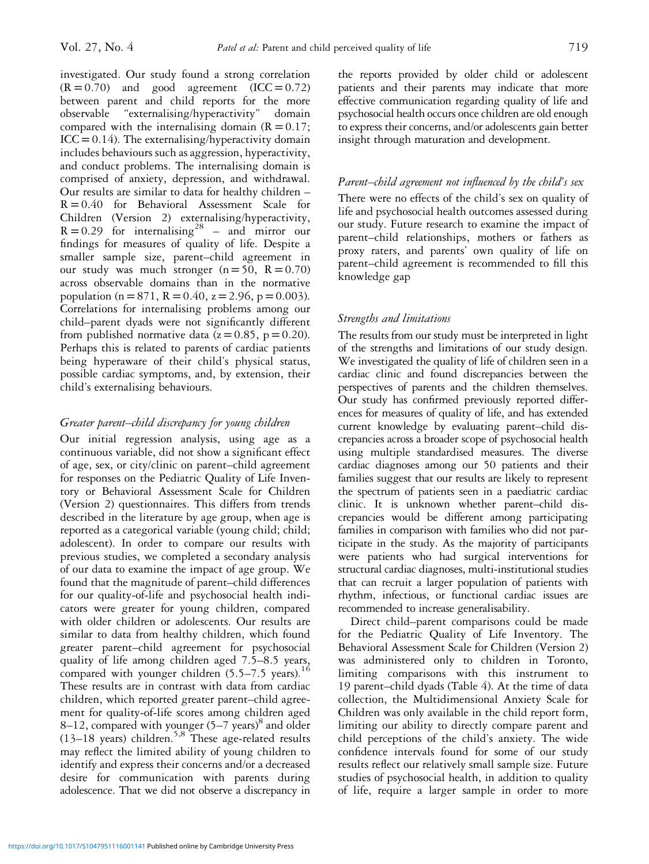investigated. Our study found a strong correlation  $(R=0.70)$  and good agreement  $(ICC=0.72)$ between parent and child reports for the more observable "externalising/hyperactivity" domain compared with the internalising domain  $(R = 0.17)$ ;  $ICC=0.14$ ). The externalising/hyperactivity domain includes behaviours such as aggression, hyperactivity, and conduct problems. The internalising domain is comprised of anxiety, depression, and withdrawal. Our results are similar to data for healthy children –  $R = 0.40$  for Behavioral Assessment Scale for Children (Version 2) externalising/hyperactivity,  $R = 0.29$  for internalising<sup>[28](#page-8-0)</sup> – and mirror our findings for measures of quality of life. Despite a smaller sample size, parent–child agreement in our study was much stronger  $(n=50, R = 0.70)$ across observable domains than in the normative population ( $n=871$ ,  $R = 0.40$ ,  $z = 2.96$ ,  $p = 0.003$ ). Correlations for internalising problems among our child–parent dyads were not significantly different from published normative data  $(z=0.85, p=0.20)$ . Perhaps this is related to parents of cardiac patients being hyperaware of their child's physical status, possible cardiac symptoms, and, by extension, their child's externalising behaviours.

## Greater parent–child discrepancy for young children

Our initial regression analysis, using age as a continuous variable, did not show a significant effect of age, sex, or city/clinic on parent–child agreement for responses on the Pediatric Quality of Life Inventory or Behavioral Assessment Scale for Children (Version 2) questionnaires. This differs from trends described in the literature by age group, when age is reported as a categorical variable (young child; child; adolescent). In order to compare our results with previous studies, we completed a secondary analysis of our data to examine the impact of age group. We found that the magnitude of parent–child differences for our quality-of-life and psychosocial health indicators were greater for young children, compared with older children or adolescents. Our results are similar to data from healthy children, which found greater parent–child agreement for psychosocial quality of life among children aged 7.5–8.5 years, compared with younger children  $(5.5-7.5 \text{ years})$ .<sup>[16](#page-8-0)</sup> These results are in contrast with data from cardiac children, which reported greater parent–child agreement for quality-of-life scores among children aged [8](#page-7-0)–12, compared with younger  $(5-7 \text{ years})^8$  and older  $(13–18 \text{ years})$  children.<sup>[5,8](#page-7-0)</sup> These age-related results may reflect the limited ability of young children to identify and express their concerns and/or a decreased desire for communication with parents during adolescence. That we did not observe a discrepancy in

the reports provided by older child or adolescent patients and their parents may indicate that more effective communication regarding quality of life and psychosocial health occurs once children are old enough to express their concerns, and/or adolescents gain better insight through maturation and development.

## Parent–child agreement not influenced by the child's sex

There were no effects of the child's sex on quality of life and psychosocial health outcomes assessed during our study. Future research to examine the impact of parent–child relationships, mothers or fathers as proxy raters, and parents' own quality of life on parent–child agreement is recommended to fill this knowledge gap

## Strengths and limitations

The results from our study must be interpreted in light of the strengths and limitations of our study design. We investigated the quality of life of children seen in a cardiac clinic and found discrepancies between the perspectives of parents and the children themselves. Our study has confirmed previously reported differences for measures of quality of life, and has extended current knowledge by evaluating parent–child discrepancies across a broader scope of psychosocial health using multiple standardised measures. The diverse cardiac diagnoses among our 50 patients and their families suggest that our results are likely to represent the spectrum of patients seen in a paediatric cardiac clinic. It is unknown whether parent–child discrepancies would be different among participating families in comparison with families who did not participate in the study. As the majority of participants were patients who had surgical interventions for structural cardiac diagnoses, multi-institutional studies that can recruit a larger population of patients with rhythm, infectious, or functional cardiac issues are recommended to increase generalisability.

Direct child–parent comparisons could be made for the Pediatric Quality of Life Inventory. The Behavioral Assessment Scale for Children (Version 2) was administered only to children in Toronto, limiting comparisons with this instrument to 19 parent–child dyads [\(Table 4](#page-4-0)). At the time of data collection, the Multidimensional Anxiety Scale for Children was only available in the child report form, limiting our ability to directly compare parent and child perceptions of the child's anxiety. The wide confidence intervals found for some of our study results reflect our relatively small sample size. Future studies of psychosocial health, in addition to quality of life, require a larger sample in order to more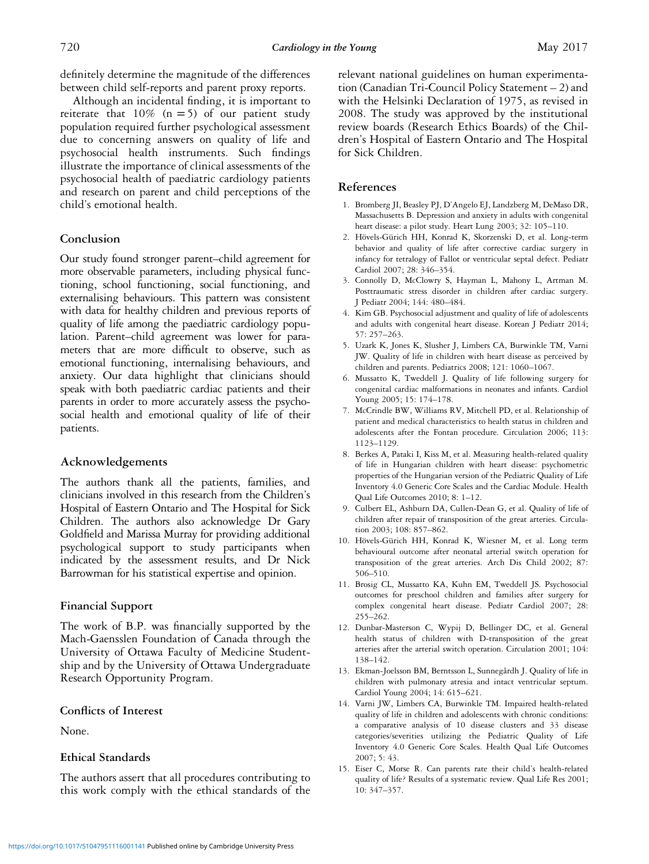<span id="page-7-0"></span>definitely determine the magnitude of the differences between child self-reports and parent proxy reports.

Although an incidental finding, it is important to reiterate that  $10\%$  (n = 5) of our patient study population required further psychological assessment due to concerning answers on quality of life and psychosocial health instruments. Such findings illustrate the importance of clinical assessments of the psychosocial health of paediatric cardiology patients and research on parent and child perceptions of the child's emotional health.

## Conclusion

Our study found stronger parent–child agreement for more observable parameters, including physical functioning, school functioning, social functioning, and externalising behaviours. This pattern was consistent with data for healthy children and previous reports of quality of life among the paediatric cardiology population. Parent–child agreement was lower for parameters that are more difficult to observe, such as emotional functioning, internalising behaviours, and anxiety. Our data highlight that clinicians should speak with both paediatric cardiac patients and their parents in order to more accurately assess the psychosocial health and emotional quality of life of their patients.

## Acknowledgements

The authors thank all the patients, families, and clinicians involved in this research from the Children's Hospital of Eastern Ontario and The Hospital for Sick Children. The authors also acknowledge Dr Gary Goldfield and Marissa Murray for providing additional psychological support to study participants when indicated by the assessment results, and Dr Nick Barrowman for his statistical expertise and opinion.

## Financial Support

The work of B.P. was financially supported by the Mach-Gaensslen Foundation of Canada through the University of Ottawa Faculty of Medicine Studentship and by the University of Ottawa Undergraduate Research Opportunity Program.

#### Conflicts of Interest

None.

#### Ethical Standards

The authors assert that all procedures contributing to this work comply with the ethical standards of the

relevant national guidelines on human experimentation (Canadian Tri-Council Policy Statement – 2) and with the Helsinki Declaration of 1975, as revised in 2008. The study was approved by the institutional review boards (Research Ethics Boards) of the Children's Hospital of Eastern Ontario and The Hospital for Sick Children.

#### References

- 1. Bromberg JI, Beasley PJ, D'Angelo EJ, Landzberg M, DeMaso DR, Massachusetts B. Depression and anxiety in adults with congenital heart disease: a pilot study. Heart Lung 2003; 32: 105–110.
- 2. Hövels-Gürich HH, Konrad K, Skorzenski D, et al. Long-term behavior and quality of life after corrective cardiac surgery in infancy for tetralogy of Fallot or ventricular septal defect. Pediatr Cardiol 2007; 28: 346–354.
- 3. Connolly D, McClowry S, Hayman L, Mahony L, Artman M. Posttraumatic stress disorder in children after cardiac surgery. J Pediatr 2004; 144: 480–484.
- 4. Kim GB. Psychosocial adjustment and quality of life of adolescents and adults with congenital heart disease. Korean J Pediatr 2014; 57: 257–263.
- 5. Uzark K, Jones K, Slusher J, Limbers CA, Burwinkle TM, Varni JW. Quality of life in children with heart disease as perceived by children and parents. Pediatrics 2008; 121: 1060–1067.
- 6. Mussatto K, Tweddell J. Quality of life following surgery for congenital cardiac malformations in neonates and infants. Cardiol Young 2005; 15: 174–178.
- 7. McCrindle BW, Williams RV, Mitchell PD, et al. Relationship of patient and medical characteristics to health status in children and adolescents after the Fontan procedure. Circulation 2006; 113: 1123–1129.
- 8. Berkes A, Pataki I, Kiss M, et al. Measuring health-related quality of life in Hungarian children with heart disease: psychometric properties of the Hungarian version of the Pediatric Quality of Life Inventory 4.0 Generic Core Scales and the Cardiac Module. Health Qual Life Outcomes 2010; 8: 1–12.
- 9. Culbert EL, Ashburn DA, Cullen-Dean G, et al. Quality of life of children after repair of transposition of the great arteries. Circulation 2003; 108: 857–862.
- 10. Hövels-Gürich HH, Konrad K, Wiesner M, et al. Long term behavioural outcome after neonatal arterial switch operation for transposition of the great arteries. Arch Dis Child 2002; 87: 506–510.
- 11. Brosig CL, Mussatto KA, Kuhn EM, Tweddell JS. Psychosocial outcomes for preschool children and families after surgery for complex congenital heart disease. Pediatr Cardiol 2007; 28: 255–262.
- 12. Dunbar-Masterson C, Wypij D, Bellinger DC, et al. General health status of children with D-transposition of the great arteries after the arterial switch operation. Circulation 2001; 104: 138–142.
- 13. Ekman-Joelsson BM, Berntsson L, Sunnegårdh J. Quality of life in children with pulmonary atresia and intact ventricular septum. Cardiol Young 2004; 14: 615–621.
- 14. Varni JW, Limbers CA, Burwinkle TM. Impaired health-related quality of life in children and adolescents with chronic conditions: a comparative analysis of 10 disease clusters and 33 disease categories/severities utilizing the Pediatric Quality of Life Inventory 4.0 Generic Core Scales. Health Qual Life Outcomes 2007; 5: 43.
- 15. Eiser C, Morse R. Can parents rate their child's health-related quality of life? Results of a systematic review. Qual Life Res 2001; 10: 347–357.